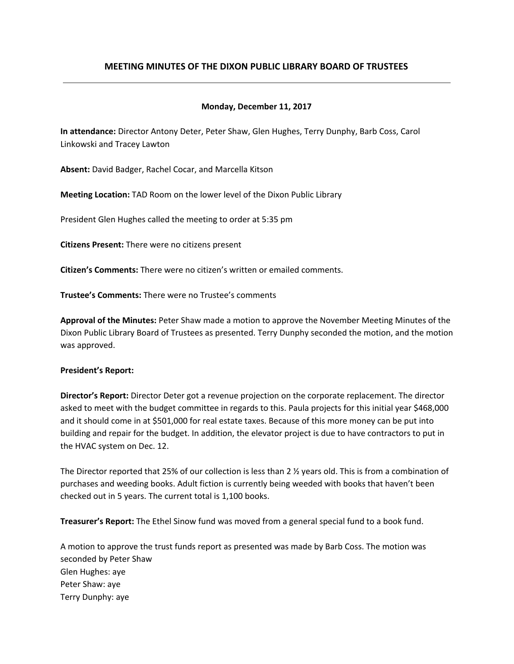# **MEETING MINUTES OF THE DIXON PUBLIC LIBRARY BOARD OF TRUSTEES**

## **Monday, December 11, 2017**

**In attendance:** Director Antony Deter, Peter Shaw, Glen Hughes, Terry Dunphy, Barb Coss, Carol Linkowski and Tracey Lawton

**Absent:** David Badger, Rachel Cocar, and Marcella Kitson

**Meeting Location:** TAD Room on the lower level of the Dixon Public Library

President Glen Hughes called the meeting to order at 5:35 pm

**Citizens Present:** There were no citizens present

**Citizen's Comments:** There were no citizen's written or emailed comments.

**Trustee's Comments:** There were no Trustee's comments

**Approval of the Minutes:** Peter Shaw made a motion to approve the November Meeting Minutes of the Dixon Public Library Board of Trustees as presented. Terry Dunphy seconded the motion, and the motion was approved.

#### **President's Report:**

**Director's Report:** Director Deter got a revenue projection on the corporate replacement. The director asked to meet with the budget committee in regards to this. Paula projects for this initial year \$468,000 and it should come in at \$501,000 for real estate taxes. Because of this more money can be put into building and repair for the budget. In addition, the elevator project is due to have contractors to put in the HVAC system on Dec. 12.

The Director reported that 25% of our collection is less than 2 ½ years old. This is from a combination of purchases and weeding books. Adult fiction is currently being weeded with books that haven't been checked out in 5 years. The current total is 1,100 books.

**Treasurer's Report:** The Ethel Sinow fund was moved from a general special fund to a book fund.

A motion to approve the trust funds report as presented was made by Barb Coss. The motion was seconded by Peter Shaw Glen Hughes: aye Peter Shaw: aye Terry Dunphy: aye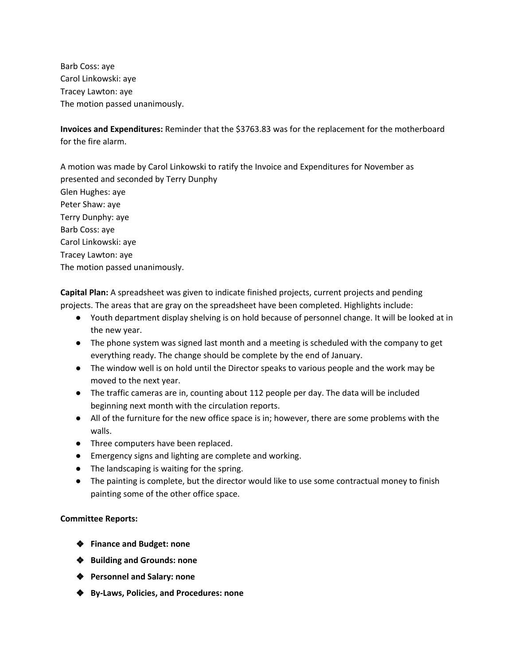Barb Coss: aye Carol Linkowski: aye Tracey Lawton: aye The motion passed unanimously.

**Invoices and Expenditures:** Reminder that the \$3763.83 was for the replacement for the motherboard for the fire alarm.

A motion was made by Carol Linkowski to ratify the Invoice and Expenditures for November as presented and seconded by Terry Dunphy Glen Hughes: aye Peter Shaw: aye Terry Dunphy: aye Barb Coss: aye Carol Linkowski: aye Tracey Lawton: aye The motion passed unanimously.

**Capital Plan:** A spreadsheet was given to indicate finished projects, current projects and pending projects. The areas that are gray on the spreadsheet have been completed. Highlights include:

- Youth department display shelving is on hold because of personnel change. It will be looked at in the new year.
- The phone system was signed last month and a meeting is scheduled with the company to get everything ready. The change should be complete by the end of January.
- The window well is on hold until the Director speaks to various people and the work may be moved to the next year.
- The traffic cameras are in, counting about 112 people per day. The data will be included beginning next month with the circulation reports.
- All of the furniture for the new office space is in; however, there are some problems with the walls.
- Three computers have been replaced.
- Emergency signs and lighting are complete and working.
- The landscaping is waiting for the spring.
- The painting is complete, but the director would like to use some contractual money to finish painting some of the other office space.

# **Committee Reports:**

- ❖ **Finance and Budget: none**
- ❖ **Building and Grounds: none**
- ❖ **Personnel and Salary: none**
- ❖ **By-Laws, Policies, and Procedures: none**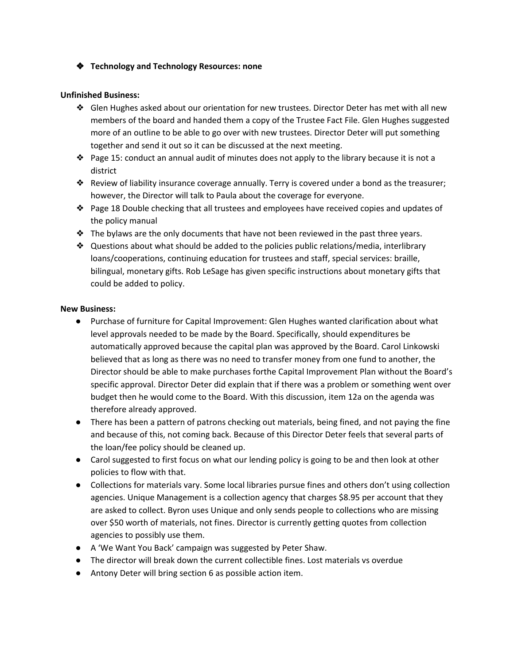## ❖ **Technology and Technology Resources: none**

### **Unfinished Business:**

- ❖ Glen Hughes asked about our orientation for new trustees. Director Deter has met with all new members of the board and handed them a copy of the Trustee Fact File. Glen Hughes suggested more of an outline to be able to go over with new trustees. Director Deter will put something together and send it out so it can be discussed at the next meeting.
- ❖ Page 15: conduct an annual audit of minutes does not apply to the library because it is not a district
- ❖ Review of liability insurance coverage annually. Terry is covered under a bond as the treasurer; however, the Director will talk to Paula about the coverage for everyone.
- ❖ Page 18 Double checking that all trustees and employees have received copies and updates of the policy manual
- ❖ The bylaws are the only documents that have not been reviewed in the past three years.
- ❖ Questions about what should be added to the policies public relations/media, interlibrary loans/cooperations, continuing education for trustees and staff, special services: braille, bilingual, monetary gifts. Rob LeSage has given specific instructions about monetary gifts that could be added to policy.

### **New Business:**

- Purchase of furniture for Capital Improvement: Glen Hughes wanted clarification about what level approvals needed to be made by the Board. Specifically, should expenditures be automatically approved because the capital plan was approved by the Board. Carol Linkowski believed that as long as there was no need to transfer money from one fund to another, the Director should be able to make purchases forthe Capital Improvement Plan without the Board's specific approval. Director Deter did explain that if there was a problem or something went over budget then he would come to the Board. With this discussion, item 12a on the agenda was therefore already approved.
- There has been a pattern of patrons checking out materials, being fined, and not paying the fine and because of this, not coming back. Because of this Director Deter feels that several parts of the loan/fee policy should be cleaned up.
- Carol suggested to first focus on what our lending policy is going to be and then look at other policies to flow with that.
- Collections for materials vary. Some local libraries pursue fines and others don't using collection agencies. Unique Management is a collection agency that charges \$8.95 per account that they are asked to collect. Byron uses Unique and only sends people to collections who are missing over \$50 worth of materials, not fines. Director is currently getting quotes from collection agencies to possibly use them.
- A 'We Want You Back' campaign was suggested by Peter Shaw.
- The director will break down the current collectible fines. Lost materials vs overdue
- Antony Deter will bring section 6 as possible action item.